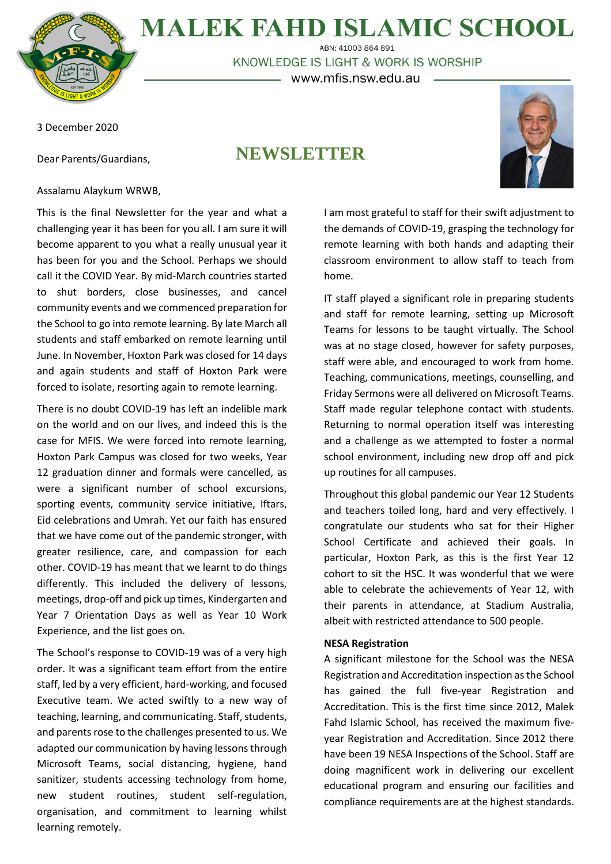

## **MALEK FAHD ISLAMIC SCHOOL** ABN: 41003 864 891

KNOWLEDGE IS LIGHT & WORK IS WORSHIP – www.mfis.nsw.edu.au –

3 December 2020

Dear Parents/Guardians,

# **NEWSLETTER**



## Assalamu Alaykum WRWB,

This is the final Newsletter for the year and what a challenging year it has been for you all. I am sure it will become apparent to you what a really unusual year it has been for you and the School. Perhaps we should call it the COVID Year. By mid-March countries started to shut borders, close businesses, and cancel community events and we commenced preparation for the School to go into remote learning. By late March all students and staff embarked on remote learning until June. In November, Hoxton Park was closed for 14 days and again students and staff of Hoxton Park were forced to isolate, resorting again to remote learning.

There is no doubt COVID-19 has left an indelible mark on the world and on our lives, and indeed this is the case for MFIS. We were forced into remote learning, Hoxton Park Campus was closed for two weeks, Year 12 graduation dinner and formals were cancelled, as were a significant number of school excursions, sporting events, community service initiative, Iftars, Eid celebrations and Umrah. Yet our faith has ensured that we have come out of the pandemic stronger, with greater resilience, care, and compassion for each other. COVID-19 has meant that we learnt to do things differently. This included the delivery of lessons, meetings, drop-off and pick up times, Kindergarten and Year 7 Orientation Days as well as Year 10 Work Experience, and the list goes on.

The School's response to COVID-19 was of a very high order. It was a significant team effort from the entire staff, led by a very efficient, hard-working, and focused Executive team. We acted swiftly to a new way of teaching, learning, and communicating. Staff, students, and parents rose to the challenges presented to us. We adapted our communication by having lessons through Microsoft Teams, social distancing, hygiene, hand sanitizer, students accessing technology from home, new student routines, student self-regulation, organisation, and commitment to learning whilst learning remotely.

I am most grateful to staff for their swift adjustment to the demands of COVID-19, grasping the technology for remote learning with both hands and adapting their classroom environment to allow staff to teach from home.

IT staff played a significant role in preparing students and staff for remote learning, setting up Microsoft Teams for lessons to be taught virtually. The School was at no stage closed, however for safety purposes, staff were able, and encouraged to work from home. Teaching, communications, meetings, counselling, and Friday Sermons were all delivered on Microsoft Teams. Staff made regular telephone contact with students. Returning to normal operation itself was interesting and a challenge as we attempted to foster a normal school environment, including new drop off and pick up routines for all campuses.

Throughout this global pandemic our Year 12 Students and teachers toiled long, hard and very effectively. I congratulate our students who sat for their Higher School Certificate and achieved their goals. In particular, Hoxton Park, as this is the first Year 12 cohort to sit the HSC. It was wonderful that we were able to celebrate the achievements of Year 12, with their parents in attendance, at Stadium Australia, albeit with restricted attendance to 500 people.

### **NESA Registration**

A significant milestone for the School was the NESA Registration and Accreditation inspection as the School has gained the full five-year Registration and Accreditation. This is the first time since 2012, Malek Fahd Islamic School, has received the maximum fiveyear Registration and Accreditation. Since 2012 there have been 19 NESA Inspections of the School. Staff are doing magnificent work in delivering our excellent educational program and ensuring our facilities and compliance requirements are at the highest standards.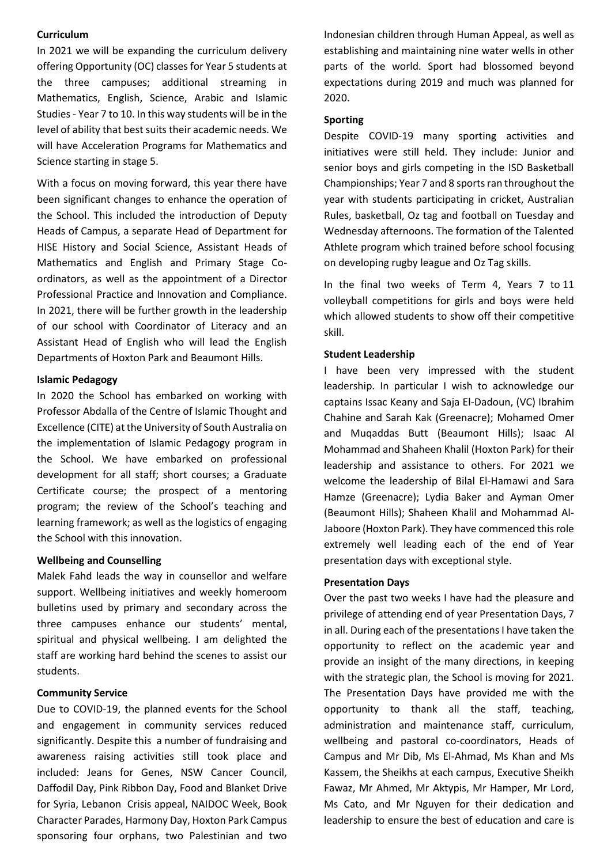### **Curriculum**

In 2021 we will be expanding the curriculum delivery offering Opportunity (OC) classes for Year 5 students at the three campuses; additional streaming in Mathematics, English, Science, Arabic and Islamic Studies - Year 7 to 10. In this way students will be in the level of ability that best suits their academic needs. We will have Acceleration Programs for Mathematics and Science starting in stage 5.

With a focus on moving forward, this year there have been significant changes to enhance the operation of the School. This included the introduction of Deputy Heads of Campus, a separate Head of Department for HISE History and Social Science, Assistant Heads of Mathematics and English and Primary Stage Coordinators, as well as the appointment of a Director Professional Practice and Innovation and Compliance. In 2021, there will be further growth in the leadership of our school with Coordinator of Literacy and an Assistant Head of English who will lead the English Departments of Hoxton Park and Beaumont Hills.

### **Islamic Pedagogy**

In 2020 the School has embarked on working with Professor Abdalla of the Centre of Islamic Thought and Excellence (CITE) at the University of South Australia on the implementation of Islamic Pedagogy program in the School. We have embarked on professional development for all staff; short courses; a Graduate Certificate course; the prospect of a mentoring program; the review of the School's teaching and learning framework; as well as the logistics of engaging the School with this innovation.

## **Wellbeing and Counselling**

Malek Fahd leads the way in counsellor and welfare support. Wellbeing initiatives and weekly homeroom bulletins used by primary and secondary across the three campuses enhance our students' mental, spiritual and physical wellbeing. I am delighted the staff are working hard behind the scenes to assist our students.

## **Community Service**

Due to COVID-19, the planned events for the School and engagement in community services reduced significantly. Despite this a number of fundraising and awareness raising activities still took place and included: Jeans for Genes, NSW Cancer Council, Daffodil Day, Pink Ribbon Day, Food and Blanket Drive for Syria, Lebanon Crisis appeal, NAIDOC Week, Book Character Parades, Harmony Day, Hoxton Park Campus sponsoring four orphans, two Palestinian and two Indonesian children through Human Appeal, as well as establishing and maintaining nine water wells in other parts of the world. Sport had blossomed beyond expectations during 2019 and much was planned for 2020.

#### **Sporting**

Despite COVID-19 many sporting activities and initiatives were still held. They include: Junior and senior boys and girls competing in the ISD Basketball Championships; Year 7 and 8 sportsran throughout the year with students participating in cricket, Australian Rules, basketball, Oz tag and football on Tuesday and Wednesday afternoons. The formation of the Talented Athlete program which trained before school focusing on developing rugby league and Oz Tag skills.

In the final two weeks of Term 4, Years 7 to 11 volleyball competitions for girls and boys were held which allowed students to show off their competitive skill.

#### **Student Leadership**

I have been very impressed with the student leadership. In particular I wish to acknowledge our captains Issac Keany and Saja El-Dadoun, (VC) Ibrahim Chahine and Sarah Kak (Greenacre); Mohamed Omer and Muqaddas Butt (Beaumont Hills); Isaac Al Mohammad and Shaheen Khalil (Hoxton Park) for their leadership and assistance to others. For 2021 we welcome the leadership of Bilal El-Hamawi and Sara Hamze (Greenacre); Lydia Baker and Ayman Omer (Beaumont Hills); Shaheen Khalil and Mohammad Al-Jaboore (Hoxton Park). They have commenced this role extremely well leading each of the end of Year presentation days with exceptional style.

#### **Presentation Days**

Over the past two weeks I have had the pleasure and privilege of attending end of year Presentation Days, 7 in all. During each of the presentations I have taken the opportunity to reflect on the academic year and provide an insight of the many directions, in keeping with the strategic plan, the School is moving for 2021. The Presentation Days have provided me with the opportunity to thank all the staff, teaching, administration and maintenance staff, curriculum, wellbeing and pastoral co-coordinators, Heads of Campus and Mr Dib, Ms El-Ahmad, Ms Khan and Ms Kassem, the Sheikhs at each campus, Executive Sheikh Fawaz, Mr Ahmed, Mr Aktypis, Mr Hamper, Mr Lord, Ms Cato, and Mr Nguyen for their dedication and leadership to ensure the best of education and care is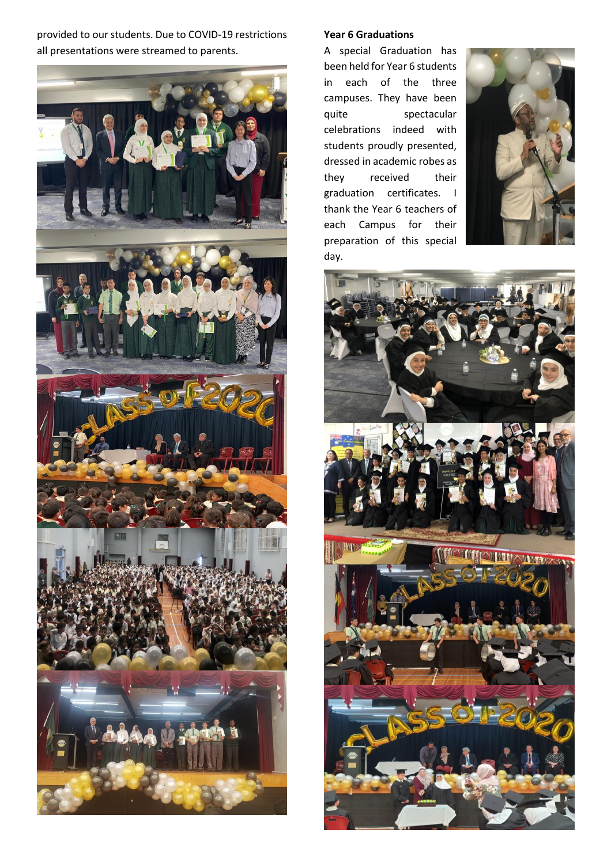provided to our students. Due to COVID-19 restrictions all presentations were streamed to parents.



## **Year 6 Graduations**

A special Graduation has been held for Year 6 students in each of the three campuses. They have been quite spectacular celebrations indeed with students proudly presented, dressed in academic robes as they received their graduation certificates. I thank the Year 6 teachers of each Campus for their preparation of this special day.



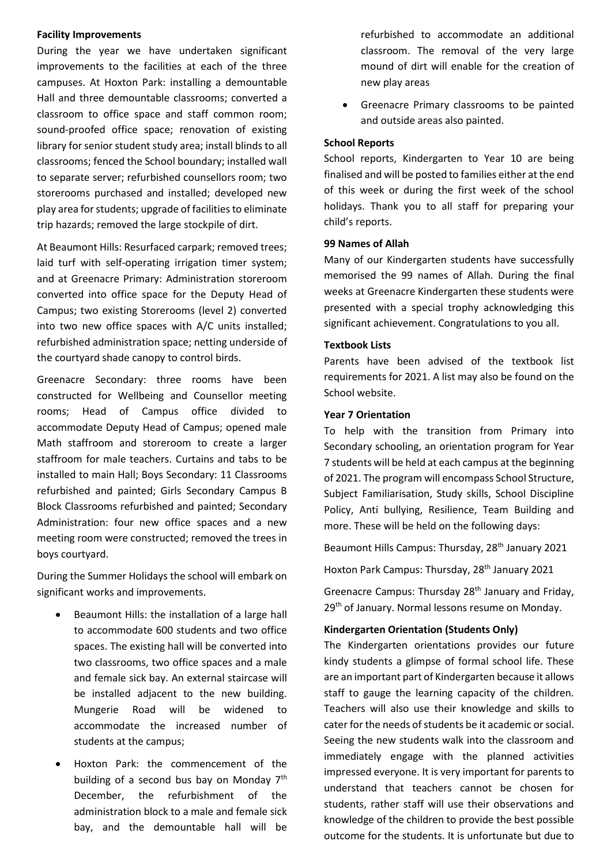#### **Facility Improvements**

During the year we have undertaken significant improvements to the facilities at each of the three campuses. At Hoxton Park: installing a demountable Hall and three demountable classrooms; converted a classroom to office space and staff common room; sound-proofed office space; renovation of existing library for senior student study area; install blinds to all classrooms; fenced the School boundary; installed wall to separate server; refurbished counsellors room; two storerooms purchased and installed; developed new play area for students; upgrade of facilities to eliminate trip hazards; removed the large stockpile of dirt.

At Beaumont Hills: Resurfaced carpark; removed trees; laid turf with self-operating irrigation timer system; and at Greenacre Primary: Administration storeroom converted into office space for the Deputy Head of Campus; two existing Storerooms (level 2) converted into two new office spaces with A/C units installed; refurbished administration space; netting underside of the courtyard shade canopy to control birds.

Greenacre Secondary: three rooms have been constructed for Wellbeing and Counsellor meeting rooms; Head of Campus office divided to accommodate Deputy Head of Campus; opened male Math staffroom and storeroom to create a larger staffroom for male teachers. Curtains and tabs to be installed to main Hall; Boys Secondary: 11 Classrooms refurbished and painted; Girls Secondary Campus B Block Classrooms refurbished and painted; Secondary Administration: four new office spaces and a new meeting room were constructed; removed the trees in boys courtyard.

During the Summer Holidays the school will embark on significant works and improvements.

- Beaumont Hills: the installation of a large hall to accommodate 600 students and two office spaces. The existing hall will be converted into two classrooms, two office spaces and a male and female sick bay. An external staircase will be installed adjacent to the new building. Mungerie Road will be widened to accommodate the increased number of students at the campus;
- Hoxton Park: the commencement of the building of a second bus bay on Monday  $7<sup>th</sup>$ December, the refurbishment of the administration block to a male and female sick bay, and the demountable hall will be

refurbished to accommodate an additional classroom. The removal of the very large mound of dirt will enable for the creation of new play areas

• Greenacre Primary classrooms to be painted and outside areas also painted.

## **School Reports**

School reports, Kindergarten to Year 10 are being finalised and will be posted to families either at the end of this week or during the first week of the school holidays. Thank you to all staff for preparing your child's reports.

#### **99 Names of Allah**

Many of our Kindergarten students have successfully memorised the 99 names of Allah. During the final weeks at Greenacre Kindergarten these students were presented with a special trophy acknowledging this significant achievement. Congratulations to you all.

### **Textbook Lists**

Parents have been advised of the textbook list requirements for 2021. A list may also be found on the School website.

## **Year 7 Orientation**

To help with the transition from Primary into Secondary schooling, an orientation program for Year 7 students will be held at each campus at the beginning of 2021. The program will encompass School Structure, Subject Familiarisation, Study skills, School Discipline Policy, Anti bullying, Resilience, Team Building and more. These will be held on the following days:

Beaumont Hills Campus: Thursday, 28<sup>th</sup> January 2021

Hoxton Park Campus: Thursday, 28<sup>th</sup> January 2021

Greenacre Campus: Thursday 28<sup>th</sup> January and Friday, 29<sup>th</sup> of January. Normal lessons resume on Monday.

### **Kindergarten Orientation (Students Only)**

The Kindergarten orientations provides our future kindy students a glimpse of formal school life. These are an important part of Kindergarten because it allows staff to gauge the learning capacity of the children. Teachers will also use their knowledge and skills to cater for the needs of students be it academic or social. Seeing the new students walk into the classroom and immediately engage with the planned activities impressed everyone. It is very important for parents to understand that teachers cannot be chosen for students, rather staff will use their observations and knowledge of the children to provide the best possible outcome for the students. It is unfortunate but due to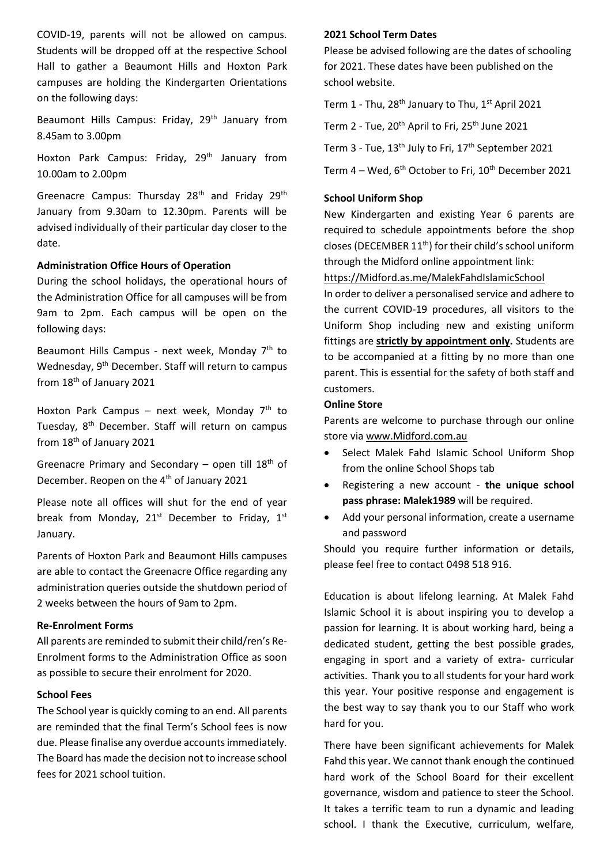COVID-19, parents will not be allowed on campus. Students will be dropped off at the respective School Hall to gather a Beaumont Hills and Hoxton Park campuses are holding the Kindergarten Orientations on the following days:

Beaumont Hills Campus: Friday, 29<sup>th</sup> January from 8.45am to 3.00pm

Hoxton Park Campus: Friday, 29<sup>th</sup> January from 10.00am to 2.00pm

Greenacre Campus: Thursday 28<sup>th</sup> and Friday 29<sup>th</sup> January from 9.30am to 12.30pm. Parents will be advised individually of their particular day closer to the date.

## **Administration Office Hours of Operation**

During the school holidays, the operational hours of the Administration Office for all campuses will be from 9am to 2pm. Each campus will be open on the following days:

Beaumont Hills Campus - next week, Monday  $7<sup>th</sup>$  to Wednesday, 9<sup>th</sup> December. Staff will return to campus from 18<sup>th</sup> of January 2021

Hoxton Park Campus – next week, Monday  $7<sup>th</sup>$  to Tuesday, 8<sup>th</sup> December. Staff will return on campus from 18<sup>th</sup> of January 2021

Greenacre Primary and Secondary – open till  $18<sup>th</sup>$  of December. Reopen on the 4<sup>th</sup> of January 2021

Please note all offices will shut for the end of year break from Monday,  $21^{st}$  December to Friday,  $1^{st}$ January.

Parents of Hoxton Park and Beaumont Hills campuses are able to contact the Greenacre Office regarding any administration queries outside the shutdown period of 2 weeks between the hours of 9am to 2pm.

### **Re-Enrolment Forms**

All parents are reminded to submit their child/ren's Re-Enrolment forms to the Administration Office as soon as possible to secure their enrolment for 2020.

## **School Fees**

The School year is quickly coming to an end. All parents are reminded that the final Term's School fees is now due. Please finalise any overdue accounts immediately. The Board has made the decision not to increase school fees for 2021 school tuition.

## **2021 School Term Dates**

Please be advised following are the dates of schooling for 2021. These dates have been published on the school website.

Term 1 - Thu,  $28<sup>th</sup>$  January to Thu,  $1<sup>st</sup>$  April 2021

Term 2 - Tue,  $20<sup>th</sup>$  April to Fri,  $25<sup>th</sup>$  June 2021

Term 3 - Tue, 13<sup>th</sup> July to Fri, 17<sup>th</sup> September 2021

Term  $4 -$  Wed,  $6<sup>th</sup>$  October to Fri,  $10<sup>th</sup>$  December 2021

## **School Uniform Shop**

New Kindergarten and existing Year 6 parents are required to schedule appointments before the shop closes (DECEMBER 11<sup>th</sup>) for their child's school uniform through the Midford online appointment link:

[https://Midford.as.me/MalekFahdIslamicSchool](https://midford.as.me/MalekFahdIslamicSchool)

In order to deliver a personalised service and adhere to the current COVID-19 procedures, all visitors to the Uniform Shop including new and existing uniform fittings are **strictly by appointment only.** Students are to be accompanied at a fitting by no more than one parent. This is essential for the safety of both staff and customers.

## **Online Store**

Parents are welcome to purchase through our online store via [www.Midford.com.au](https://aus01.safelinks.protection.outlook.com/?url=http%3A%2F%2Fwww.midford.com.au%2F&data=04%7C01%7CPAPrincipal%40mfis.nsw.edu.au%7C64512224ad854a9b95bf08d87960e8a3%7Ce16a2b49cc2e41aeb8d255af86c551f0%7C0%7C0%7C637392804555635466%7CUnknown%7CTWFpbGZsb3d8eyJWIjoiMC4wLjAwMDAiLCJQIjoiV2luMzIiLCJBTiI6Ik1haWwiLCJXVCI6Mn0%3D%7C1000&sdata=k0iyxCzbsv%2B%2F1YripWlTLgn66ZsANvDyEShEuU12Jj4%3D&reserved=0)

- Select Malek Fahd Islamic School Uniform Shop from the online School Shops tab
- Registering a new account **the unique school pass phrase: Malek1989** will be required.
- Add your personal information, create a username and password

Should you require further information or details, please feel free to contact 0498 518 916.

Education is about lifelong learning. At Malek Fahd Islamic School it is about inspiring you to develop a passion for learning. It is about working hard, being a dedicated student, getting the best possible grades, engaging in sport and a variety of extra- curricular activities. Thank you to all students for your hard work this year. Your positive response and engagement is the best way to say thank you to our Staff who work hard for you.

There have been significant achievements for Malek Fahd this year. We cannot thank enough the continued hard work of the School Board for their excellent governance, wisdom and patience to steer the School. It takes a terrific team to run a dynamic and leading school. I thank the Executive, curriculum, welfare,